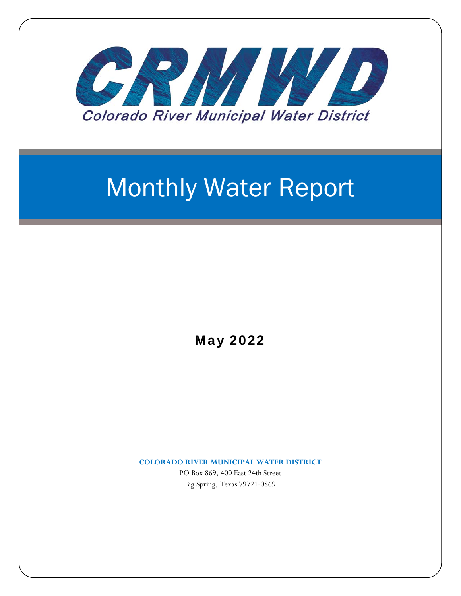

# Monthly Water Report

May 2022

**COLORADO RIVER MUNICIPAL WATER DISTRICT**

PO Box 869, 400 East 24th Street Big Spring, Texas 79721-0869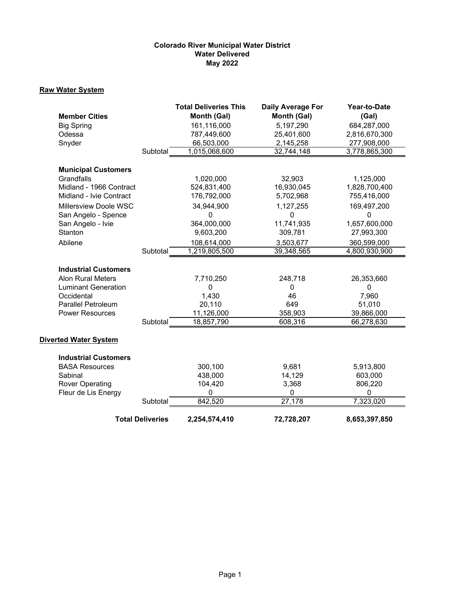# **Colorado River Municipal Water District Water Delivered May 2022**

# **Raw Water System**

|                                               |                         | <b>Total Deliveries This</b><br>Month (Gal) | Daily Average For<br>Month (Gal) | Year-to-Date<br>(Gal)    |
|-----------------------------------------------|-------------------------|---------------------------------------------|----------------------------------|--------------------------|
| <b>Member Cities</b>                          |                         | 161,116,000                                 | 5,197,290                        | 684,287,000              |
| <b>Big Spring</b><br>Odessa                   |                         | 787,449,600                                 | 25,401,600                       | 2,816,670,300            |
| Snyder                                        |                         | 66,503,000                                  | 2,145,258                        | 277,908,000              |
|                                               | Subtotal                | 1,015,068,600                               | 32,744,148                       | 3,778,865,300            |
|                                               |                         |                                             |                                  |                          |
| <b>Municipal Customers</b>                    |                         |                                             |                                  |                          |
| Grandfalls                                    |                         | 1,020,000                                   | 32,903                           | 1,125,000                |
| Midland - 1966 Contract                       |                         | 524,831,400                                 | 16,930,045                       | 1,828,700,400            |
| Midland - Ivie Contract                       |                         | 176,792,000                                 | 5,702,968                        | 755,416,000              |
| Millersview Doole WSC                         |                         | 34,944,900                                  | 1,127,255                        | 169,497,200              |
| San Angelo - Spence                           |                         | 0                                           | 0                                | 0                        |
| San Angelo - Ivie                             |                         | 364,000,000                                 | 11,741,935                       | 1,657,600,000            |
| Stanton                                       |                         | 9,603,200                                   | 309,781                          | 27,993,300               |
| Abilene                                       |                         | 108,614,000                                 | 3,503,677                        | 360,599,000              |
|                                               | Subtotal                | 1,219,805,500                               | 39,348,565                       | 4,800,930,900            |
|                                               |                         |                                             |                                  |                          |
| <b>Industrial Customers</b>                   |                         |                                             |                                  |                          |
| <b>Alon Rural Meters</b>                      |                         | 7,710,250                                   | 248,718                          | 26,353,660               |
| <b>Luminant Generation</b>                    |                         | 0                                           | $\Omega$                         | 0                        |
| Occidental                                    |                         | 1,430                                       | 46                               | 7,960                    |
| <b>Parallel Petroleum</b>                     |                         | 20,110                                      | 649                              | 51,010                   |
| <b>Power Resources</b>                        | Subtotal                | 11,126,000<br>18,857,790                    | 358,903<br>608,316               | 39,866,000<br>66,278,630 |
|                                               |                         |                                             |                                  |                          |
| <b>Diverted Water System</b>                  |                         |                                             |                                  |                          |
|                                               |                         |                                             |                                  |                          |
| <b>Industrial Customers</b>                   |                         |                                             |                                  |                          |
| <b>BASA Resources</b>                         |                         | 300,100                                     | 9,681                            | 5,913,800                |
| Sabinal                                       |                         | 438,000                                     | 14,129                           | 603,000                  |
| <b>Rover Operating</b><br>Fleur de Lis Energy |                         | 104,420<br>$\mathbf 0$                      | 3,368<br>$\mathbf 0$             | 806,220<br>0             |
|                                               | Subtotal                | 842,520                                     | 27,178                           | 7,323,020                |
|                                               |                         |                                             |                                  |                          |
|                                               | <b>Total Deliveries</b> | 2,254,574,410                               | 72,728,207                       | 8,653,397,850            |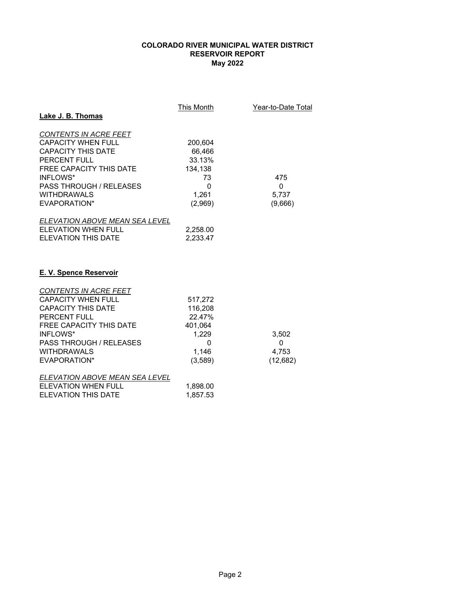# **COLORADO RIVER MUNICIPAL WATER DISTRICT RESERVOIR REPORT May 2022**

| Lake J. B. Thomas                                                                                                                                                                                                     | <u>This Month</u>                                                         | Year-to-Date Total              |
|-----------------------------------------------------------------------------------------------------------------------------------------------------------------------------------------------------------------------|---------------------------------------------------------------------------|---------------------------------|
| <b>CONTENTS IN ACRE FEET</b><br><b>CAPACITY WHEN FULL</b><br><b>CAPACITY THIS DATE</b><br>PERCENT FULL<br>FREE CAPACITY THIS DATE<br>INFLOWS*<br><b>PASS THROUGH / RELEASES</b><br><b>WITHDRAWALS</b><br>EVAPORATION* | 200,604<br>66,466<br>33.13%<br>134,138<br>73<br>0<br>1,261<br>(2,969)     | 475<br>0<br>5,737<br>(9,666)    |
| <u>ELEVATION ABOVE MEAN SEA LEVEL</u><br><b>ELEVATION WHEN FULL</b><br><b>ELEVATION THIS DATE</b>                                                                                                                     | 2,258.00<br>2,233.47                                                      |                                 |
| <b>E. V. Spence Reservoir</b>                                                                                                                                                                                         |                                                                           |                                 |
| CONTENTS IN ACRE FEET<br><b>CAPACITY WHEN FULL</b><br><b>CAPACITY THIS DATE</b><br>PERCENT FULL<br>FREE CAPACITY THIS DATE<br>INFLOWS*<br>PASS THROUGH / RELEASES<br><b>WITHDRAWALS</b><br>EVAPORATION*               | 517,272<br>116,208<br>22.47%<br>401,064<br>1,229<br>0<br>1,146<br>(3,589) | 3,502<br>0<br>4,753<br>(12,682) |
| ELEVATION ABOVE MEAN SEA LEVEL<br><b>ELEVATION WHEN FULL</b><br><b>ELEVATION THIS DATE</b>                                                                                                                            | 1,898.00<br>1.857.53                                                      |                                 |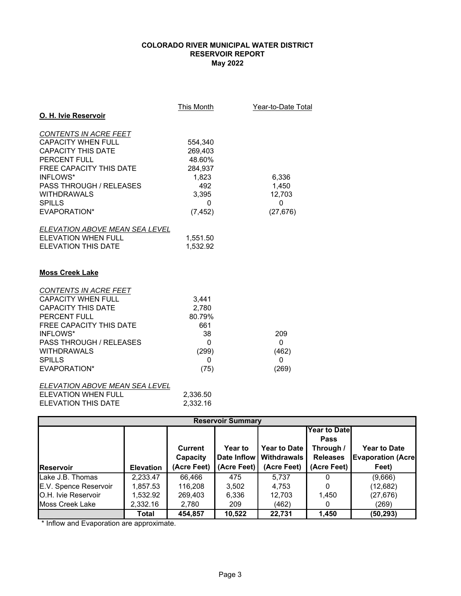# **May 2022 COLORADO RIVER MUNICIPAL WATER DISTRICT RESERVOIR REPORT**

| O. H. Ivie Reservoir                                                                                                                                                                                                                   | This Month                                                                        | Year-to-Date Total                                |
|----------------------------------------------------------------------------------------------------------------------------------------------------------------------------------------------------------------------------------------|-----------------------------------------------------------------------------------|---------------------------------------------------|
| <b>CONTENTS IN ACRE FEET</b><br><b>CAPACITY WHEN FULL</b><br><b>CAPACITY THIS DATE</b><br>PERCENT FULL<br>FREE CAPACITY THIS DATE<br>INFLOWS*<br><b>PASS THROUGH / RELEASES</b><br><b>WITHDRAWALS</b><br><b>SPILLS</b><br>EVAPORATION* | 554,340<br>269,403<br>48.60%<br>284,937<br>1,823<br>492<br>3,395<br>0<br>(7, 452) | 6,336<br>1,450<br>12,703<br>$\Omega$<br>(27, 676) |
| ELEVATION ABOVE MEAN SEA LEVEL<br>FI FVATION WHEN FULL<br><b>ELEVATION THIS DATE</b><br><b>Moss Creek Lake</b>                                                                                                                         | 1,551.50<br>1,532.92                                                              |                                                   |
| CONTENTS IN ACRE FEET<br><b>CAPACITY WHEN FULL</b><br><b>CAPACITY THIS DATE</b><br>PERCENT FULL<br><b>FREE CAPACITY THIS DATE</b><br>INFLOWS*<br><b>PASS THROUGH / RELEASES</b><br><b>WITHDRAWALS</b><br><b>SPILLS</b><br>EVAPORATION* | 3,441<br>2,780<br>80.79%<br>661<br>38<br>$\Omega$<br>(299)<br>0<br>(75)           | 209<br>0<br>(462)<br>0<br>(269)                   |
| ELEVATION ABOVE MEAN SEA LEVEL<br><b>ELEVATION WHEN FULL</b><br><b>ELEVATION THIS DATE</b>                                                                                                                                             | 2,336.50<br>2,332.16                                                              |                                                   |

| <b>Reservoir Summary</b> |                  |             |                |                     |                     |                           |
|--------------------------|------------------|-------------|----------------|---------------------|---------------------|---------------------------|
|                          |                  |             |                |                     | <b>Year to Date</b> |                           |
|                          |                  |             |                |                     | <b>Pass</b>         |                           |
|                          |                  | Current     | <b>Year to</b> | <b>Year to Date</b> | Through /           | <b>Year to Date</b>       |
|                          |                  | Capacity    | Date Inflow    | Withdrawals         | <b>Releases</b>     | <b>Evaporation (Acre)</b> |
| Reservoir                | <b>Elevation</b> | (Acre Feet) | (Acre Feet)    | (Acre Feet)         | (Acre Feet)         | Feet)                     |
| Lake J.B. Thomas         | 2,233.47         | 66,466      | 475            | 5.737               |                     | (9,666)                   |
| E.V. Spence Reservoir    | 1,857.53         | 116,208     | 3,502          | 4,753               |                     | (12, 682)                 |
| O.H. Ivie Reservoir      | 1,532.92         | 269,403     | 6,336          | 12,703              | 1.450               | (27,676)                  |
| Moss Creek Lake          | 2,332.16         | 2,780       | 209            | (462)               |                     | (269)                     |
|                          | Total            | 454.857     | 10.522         | 22.731              | 1,450               | (50, 293)                 |

\* Inflow and Evaporation are approximate.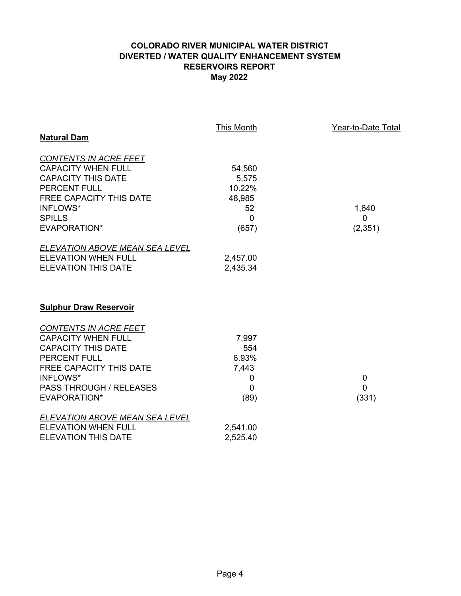# **COLORADO RIVER MUNICIPAL WATER DISTRICT DIVERTED / WATER QUALITY ENHANCEMENT SYSTEM RESERVOIRS REPORT May 2022**

|                                                                                                                                                                                                                      | This Month                                                        | Year-to-Date Total                  |
|----------------------------------------------------------------------------------------------------------------------------------------------------------------------------------------------------------------------|-------------------------------------------------------------------|-------------------------------------|
| <b>Natural Dam</b>                                                                                                                                                                                                   |                                                                   |                                     |
| CONTENTS IN ACRE FEET<br><b>CAPACITY WHEN FULL</b><br><b>CAPACITY THIS DATE</b><br><b>PERCENT FULL</b><br><b>FREE CAPACITY THIS DATE</b><br><b>INFLOWS*</b><br><b>SPILLS</b><br><b>EVAPORATION*</b>                  | 54,560<br>5,575<br>10.22%<br>48,985<br>52<br>$\mathbf 0$<br>(657) | 1,640<br>$\mathbf 0$<br>(2, 351)    |
| ELEVATION ABOVE MEAN SEA LEVEL<br><b>ELEVATION WHEN FULL</b><br><b>ELEVATION THIS DATE</b>                                                                                                                           | 2,457.00<br>2,435.34                                              |                                     |
| <b>Sulphur Draw Reservoir</b>                                                                                                                                                                                        |                                                                   |                                     |
| CONTENTS IN ACRE FEET<br><b>CAPACITY WHEN FULL</b><br><b>CAPACITY THIS DATE</b><br><b>PERCENT FULL</b><br><b>FREE CAPACITY THIS DATE</b><br><b>INFLOWS*</b><br><b>PASS THROUGH / RELEASES</b><br><b>EVAPORATION*</b> | 7,997<br>554<br>6.93%<br>7,443<br>0<br>0<br>(89)                  | $\mathbf 0$<br>$\mathbf 0$<br>(331) |
| ELEVATION ABOVE MEAN SEA LEVEL<br><b>ELEVATION WHEN FULL</b><br><b>ELEVATION THIS DATE</b>                                                                                                                           | 2,541.00<br>2,525.40                                              |                                     |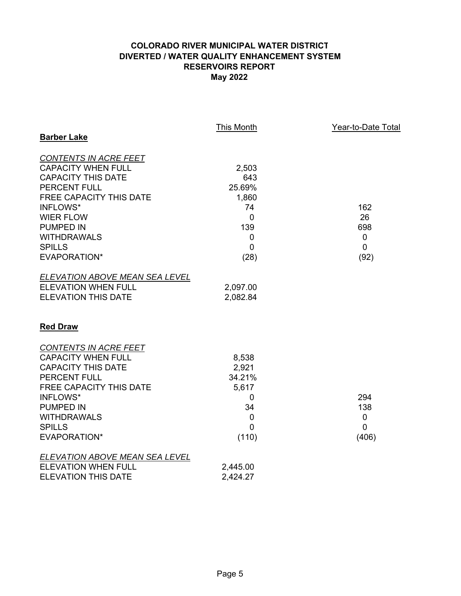# **COLORADO RIVER MUNICIPAL WATER DISTRICT DIVERTED / WATER QUALITY ENHANCEMENT SYSTEM RESERVOIRS REPORT May 2022**

|                                       | <b>This Month</b> | Year-to-Date Total |
|---------------------------------------|-------------------|--------------------|
| <b>Barber Lake</b>                    |                   |                    |
| <b>CONTENTS IN ACRE FEET</b>          |                   |                    |
| <b>CAPACITY WHEN FULL</b>             | 2,503             |                    |
| <b>CAPACITY THIS DATE</b>             | 643               |                    |
| <b>PERCENT FULL</b>                   | 25.69%            |                    |
| FREE CAPACITY THIS DATE               | 1,860             |                    |
| <b>INFLOWS*</b>                       | 74                | 162                |
| <b>WIER FLOW</b>                      | $\mathbf 0$       | 26                 |
| <b>PUMPED IN</b>                      | 139               | 698                |
| <b>WITHDRAWALS</b>                    | 0                 | $\mathbf 0$        |
| <b>SPILLS</b>                         | $\mathbf 0$       | $\mathbf 0$        |
| EVAPORATION*                          | (28)              | (92)               |
| <b>ELEVATION ABOVE MEAN SEA LEVEL</b> |                   |                    |
| <b>ELEVATION WHEN FULL</b>            | 2,097.00          |                    |
| <b>ELEVATION THIS DATE</b>            | 2,082.84          |                    |
| <b>Red Draw</b>                       |                   |                    |
| <b>CONTENTS IN ACRE FEET</b>          |                   |                    |
| <b>CAPACITY WHEN FULL</b>             | 8,538             |                    |
| <b>CAPACITY THIS DATE</b>             | 2,921             |                    |
| PERCENT FULL                          | 34.21%            |                    |
| <b>FREE CAPACITY THIS DATE</b>        | 5,617             |                    |
| INFLOWS*                              | 0                 | 294                |
| <b>PUMPED IN</b>                      | 34                | 138                |
| <b>WITHDRAWALS</b>                    | 0                 | $\pmb{0}$          |
| <b>SPILLS</b>                         | 0                 | $\mathbf 0$        |
| EVAPORATION*                          | (110)             | (406)              |
| <b>ELEVATION ABOVE MEAN SEA LEVEL</b> |                   |                    |
| <b>ELEVATION WHEN FULL</b>            | 2,445.00          |                    |
| <b>ELEVATION THIS DATE</b>            | 2,424.27          |                    |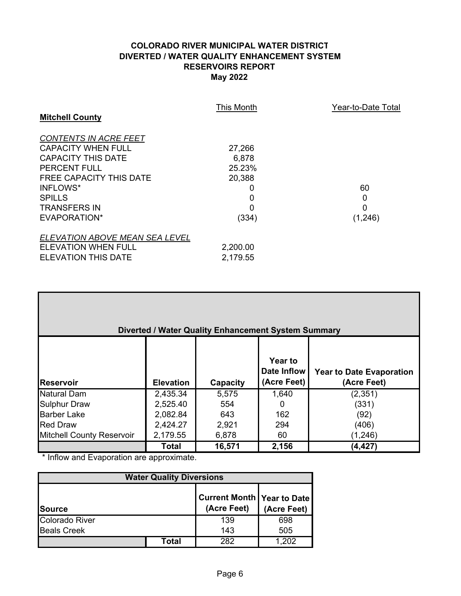# **COLORADO RIVER MUNICIPAL WATER DISTRICT DIVERTED / WATER QUALITY ENHANCEMENT SYSTEM RESERVOIRS REPORT May 2022**

|                                | This Month | Year-to-Date Total |
|--------------------------------|------------|--------------------|
| <b>Mitchell County</b>         |            |                    |
| <b>CONTENTS IN ACRE FEET</b>   |            |                    |
| <b>CAPACITY WHEN FULL</b>      | 27,266     |                    |
| CAPACITY THIS DATE             | 6,878      |                    |
| <b>PERCENT FULL</b>            | 25.23%     |                    |
| FREE CAPACITY THIS DATE        | 20,388     |                    |
| INFLOWS*                       |            | 60                 |
| <b>SPILLS</b>                  | 0          | 0                  |
| <b>TRANSFERS IN</b>            | 0          | 0                  |
| EVAPORATION*                   | (334)      | (1,246)            |
| ELEVATION ABOVE MEAN SEA LEVEL |            |                    |
| ELEVATION WHEN FULL            | 2,200.00   |                    |
| ELEVATION THIS DATE            | 2,179.55   |                    |

| Diverted / Water Quality Enhancement System Summary |                  |          |                                              |                                                |  |  |
|-----------------------------------------------------|------------------|----------|----------------------------------------------|------------------------------------------------|--|--|
| <b>IReservoir</b>                                   | <b>Elevation</b> | Capacity | <b>Year to</b><br>Date Inflow<br>(Acre Feet) | <b>Year to Date Evaporation</b><br>(Acre Feet) |  |  |
| <b>Natural Dam</b>                                  | 2,435.34         | 5,575    | 1,640                                        | (2,351)                                        |  |  |
| <b>Sulphur Draw</b>                                 | 2,525.40         | 554      | 0                                            | (331)                                          |  |  |
| <b>Barber Lake</b>                                  | 2,082.84         | 643      | 162                                          | (92)                                           |  |  |
| <b>Red Draw</b>                                     | 2,424.27         | 2,921    | 294                                          | (406)                                          |  |  |
| Mitchell County Reservoir                           | 2,179.55         | 6,878    | 60                                           | (1, 246)                                       |  |  |
|                                                     | Total            | 16,571   | 2,156                                        | (4,427)                                        |  |  |

\* Inflow and Evaporation are approximate.

| <b>Water Quality Diversions</b> |       |                                                    |             |  |
|---------------------------------|-------|----------------------------------------------------|-------------|--|
| <b>Source</b>                   |       | <b>Current Month   Year to Date</b><br>(Acre Feet) | (Acre Feet) |  |
| Colorado River                  |       | 139                                                | 698         |  |
| <b>Beals Creek</b>              |       | 143                                                | 505         |  |
|                                 | Total | つぬつ                                                | -202        |  |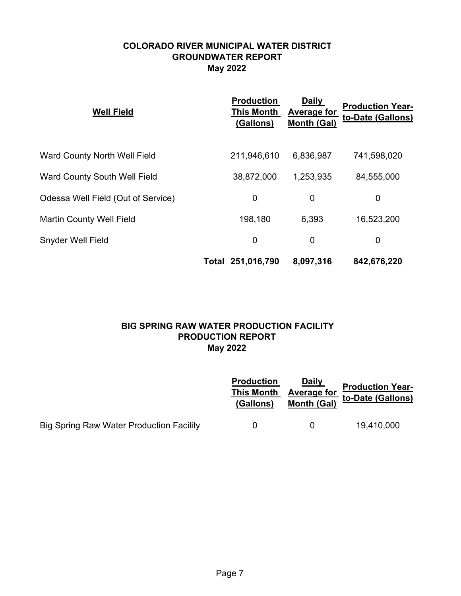# **COLORADO RIVER MUNICIPAL WATER DISTRICT GROUNDWATER REPORT May 2022**

| <b>Well Field</b>                  | <b>Production</b><br><b>This Month</b><br>(Gallons) | <b>Daily</b><br><b>Average for</b><br><b>Month (Gal)</b> | <b>Production Year-</b><br>to-Date (Gallons) |
|------------------------------------|-----------------------------------------------------|----------------------------------------------------------|----------------------------------------------|
| Ward County North Well Field       | 211,946,610                                         | 6,836,987                                                | 741,598,020                                  |
| Ward County South Well Field       | 38,872,000                                          | 1,253,935                                                | 84,555,000                                   |
| Odessa Well Field (Out of Service) | $\mathbf 0$                                         | 0                                                        | 0                                            |
| <b>Martin County Well Field</b>    | 198,180                                             | 6,393                                                    | 16,523,200                                   |
| Snyder Well Field                  | $\mathbf 0$                                         | $\mathbf 0$                                              | 0                                            |
|                                    | Total 251,016,790                                   | 8,097,316                                                | 842,676,220                                  |

# **May 2022 BIG SPRING RAW WATER PRODUCTION FACILITY PRODUCTION REPORT**

|                                          | <b>Production</b><br><b>This Month</b><br>(Gallons) | <u>Daily</u><br><b>Average for</b><br><b>Month (Gal)</b> | <b>Production Year-</b><br>to-Date (Gallons) |
|------------------------------------------|-----------------------------------------------------|----------------------------------------------------------|----------------------------------------------|
| Big Spring Raw Water Production Facility |                                                     |                                                          | 19,410,000                                   |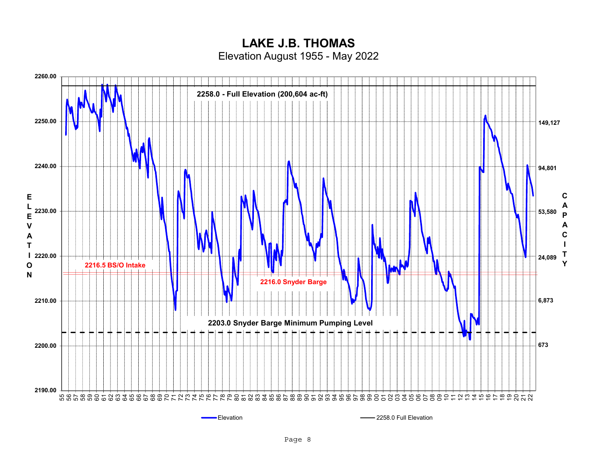# **LAKE J.B. THOMAS**

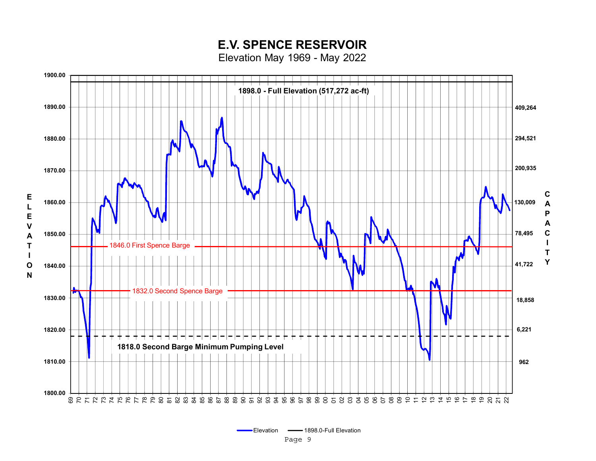# **E.V. SPENCE RESERVOIR**

Elevation May 1969 - May 2022

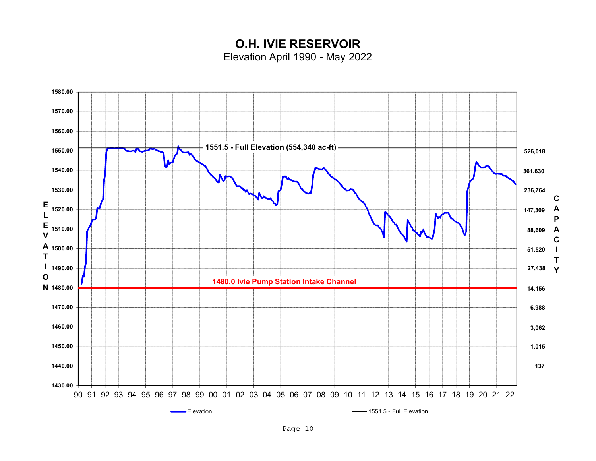**O.H. IVIE RESERVOIR**Elevation April 1990 - May 2022

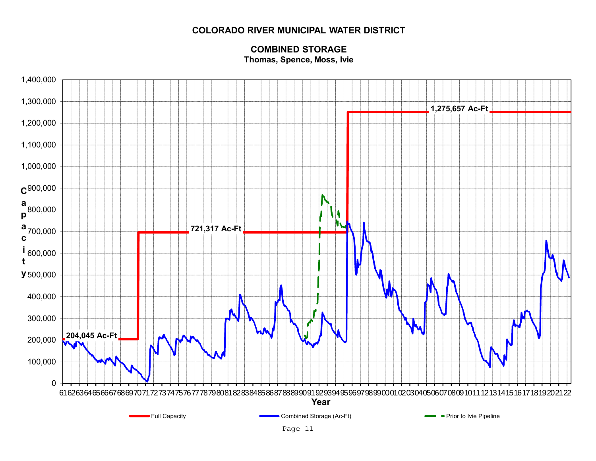# **COLORADO RIVER MUNICIPAL WATER DISTRICT**



# **COMBINED STORAGEThomas, Spence, Moss, Ivie**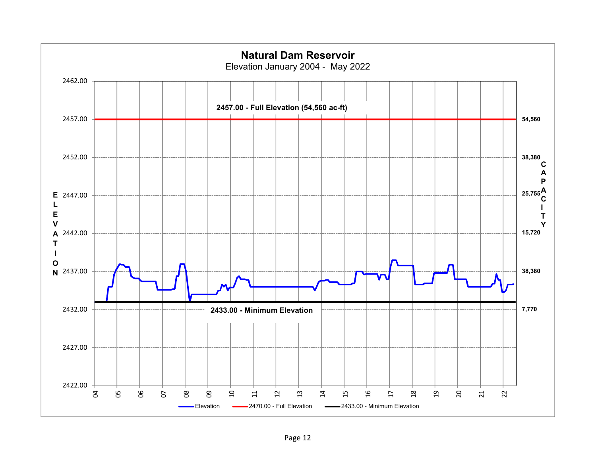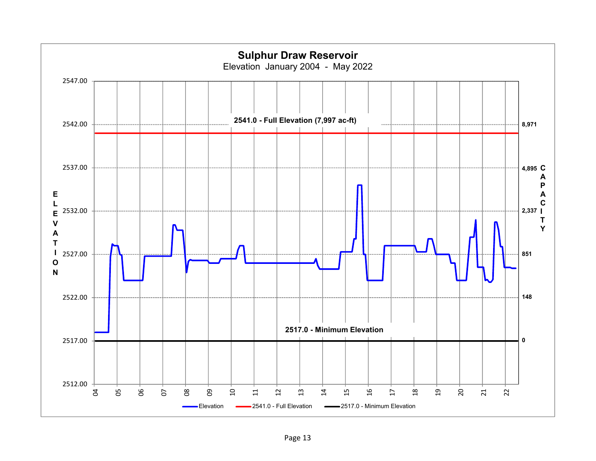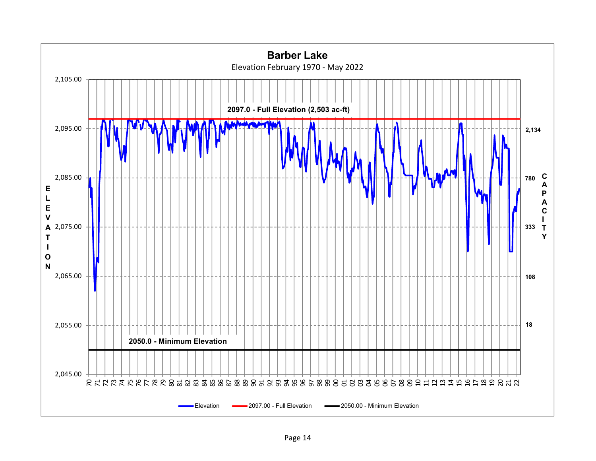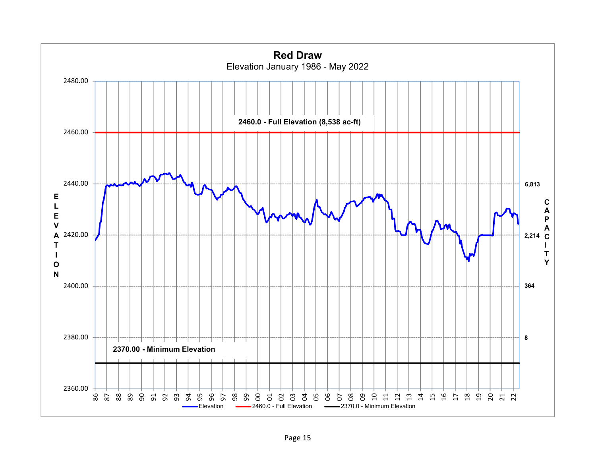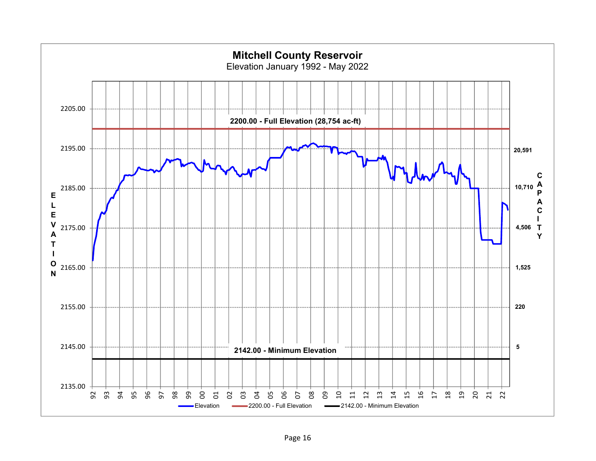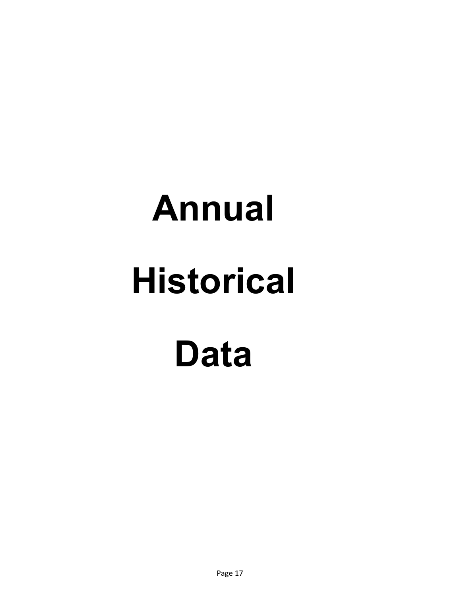# **Annual Historical Data**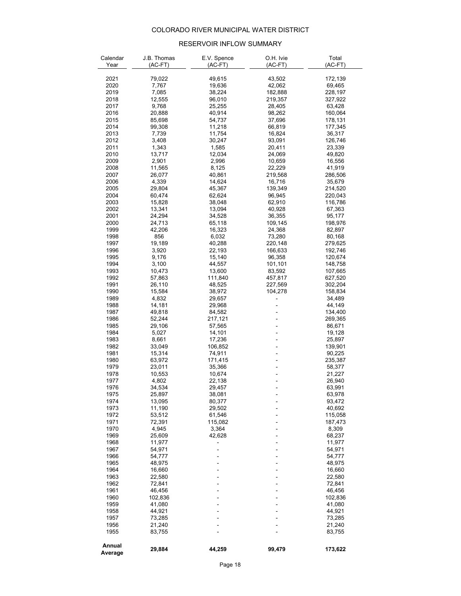# COLORADO RIVER MUNICIPAL WATER DISTRICT

### RESERVOIR INFLOW SUMMARY

| Calendar     | J.B. Thomas     | E.V. Spence      | O.H. Ivie | Total            |
|--------------|-----------------|------------------|-----------|------------------|
| Year         | (AC-FT)         | $(AC-FT)$        | $(AC-FT)$ | (AC-FT)          |
|              |                 |                  |           |                  |
| 2021         | 79,022          | 49,615           | 43,502    | 172,139          |
| 2020         | 7,767           | 19,636           | 42,062    | 69,465           |
| 2019         | 7,085           | 38,224           | 182,888   | 228,197          |
| 2018         | 12,555          | 96,010           | 219,357   | 327,922          |
| 2017         | 9,768           | 25,255           | 28,405    | 63,428           |
| 2016         | 20,888          | 40,914           | 98,262    | 160,064          |
| 2015         | 85,698          | 54,737           | 37,696    | 178,131          |
| 2014         | 99,308          | 11,218           | 66,819    | 177,345          |
| 2013         | 7,739           | 11,754           | 16,824    | 36,317           |
| 2012         | 3,408           | 30,247           | 93,091    | 126,746          |
| 2011         | 1,343           | 1,585            | 20,411    | 23,339           |
| 2010         | 13,717          | 12,034           | 24,069    | 49,820           |
| 2009         | 2,901           | 2,996            | 10,659    | 16,556           |
| 2008         | 11,565          | 8,125            | 22,229    | 41,919           |
| 2007         | 26,077          | 40,861           | 219,568   | 286,506          |
| 2006         | 4,339           | 14,624           | 16,716    | 35,679           |
| 2005         | 29,804          | 45,367           | 139,349   | 214,520          |
| 2004         | 60,474          | 62,624           | 96,945    | 220,043          |
| 2003         | 15,828          | 38,048           | 62,910    | 116,786          |
| 2002         | 13,341          | 13,094           | 40,928    | 67,363           |
| 2001         | 24,294          | 34,528           | 36,355    | 95,177           |
| 2000         | 24,713          | 65,118           | 109,145   | 198,976          |
| 1999         | 42,206          | 16,323           | 24,368    | 82,897           |
| 1998         | 856             | 6,032            | 73,280    | 80,168           |
| 1997         | 19,189          | 40,288           | 220,148   | 279,625          |
| 1996         | 3,920           | 22,193           | 166,633   | 192,746          |
| 1995         | 9,176           | 15,140           | 96,358    | 120,674          |
| 1994         | 3,100           | 44,557           | 101,101   | 148,758          |
| 1993         | 10,473          | 13,600           | 83,592    | 107,665          |
| 1992         | 57,863          | 111,840          | 457,817   | 627,520          |
| 1991         | 26,110          | 48,525           | 227,569   | 302,204          |
| 1990         | 15,584          | 38,972           | 104,278   | 158,834          |
| 1989         | 4,832           | 29,657           |           | 34,489           |
| 1988         | 14,181          | 29,968           |           | 44,149           |
| 1987         | 49,818          | 84,582           |           | 134,400          |
| 1986         | 52,244          | 217,121          |           | 269,365          |
| 1985<br>1984 | 29,106<br>5,027 | 57,565<br>14,101 |           | 86,671           |
| 1983         | 8,661           | 17,236           |           | 19,128<br>25,897 |
| 1982         | 33,049          | 106,852          |           | 139,901          |
| 1981         | 15,314          | 74,911           |           | 90,225           |
| 1980         | 63,972          | 171,415          |           | 235,387          |
| 1979         | 23,011          | 35,366           |           | 58,377           |
| 1978         | 10,553          | 10,674           |           | 21,227           |
| 1977         | 4,802           | 22,138           |           | 26,940           |
| 1976         | 34,534          | 29,457           |           | 63,991           |
| 1975         | 25,897          | 38,081           |           | 63,978           |
| 1974         | 13,095          | 80,377           |           | 93,472           |
| 1973         | 11,190          | 29,502           |           | 40,692           |
| 1972         | 53,512          | 61,546           |           | 115,058          |
| 1971         | 72,391          | 115,082          |           | 187,473          |
| 1970         | 4,945           | 3,364            |           | 8,309            |
| 1969         | 25,609          | 42,628           |           | 68,237           |
| 1968         | 11,977          |                  |           | 11,977           |
| 1967         | 54,971          |                  |           | 54,971           |
| 1966         | 54,777          |                  |           | 54,777           |
| 1965         | 48,975          |                  |           | 48,975           |
| 1964         | 16,660          |                  |           | 16,660           |
| 1963         | 22,580          |                  |           | 22,580           |
| 1962         | 72,841          |                  |           | 72,841           |
| 1961         | 46,456          | ÷                |           | 46,456           |
| 1960         | 102,836         |                  |           | 102,836          |
| 1959         | 41,080          |                  |           | 41,080           |
| 1958         | 44,921          |                  |           | 44,921           |
| 1957         | 73,285          | ÷                |           | 73,285           |
| 1956         | 21,240          |                  |           | 21,240           |
| 1955         | 83,755          |                  |           | 83,755           |
|              |                 |                  |           |                  |
| Annual       | 29,884          | 44,259           | 99,479    | 173,622          |
| Average      |                 |                  |           |                  |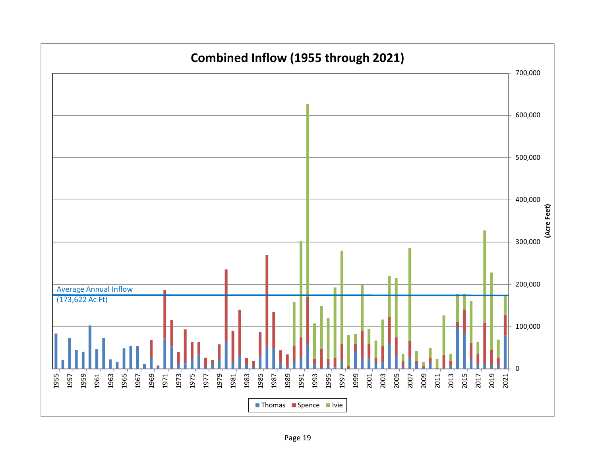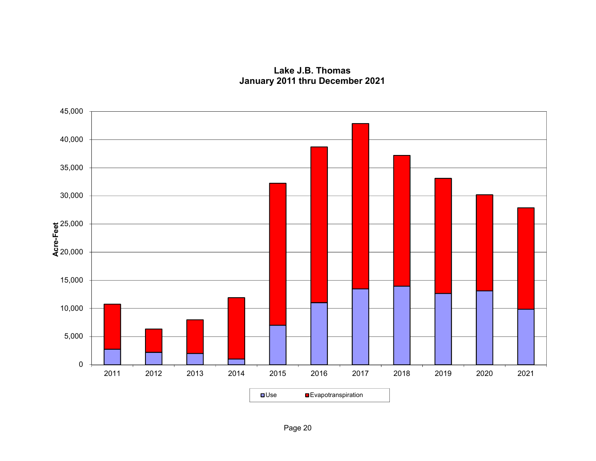**Lake J.B. ThomasJanuary 2011 thru December 2021**

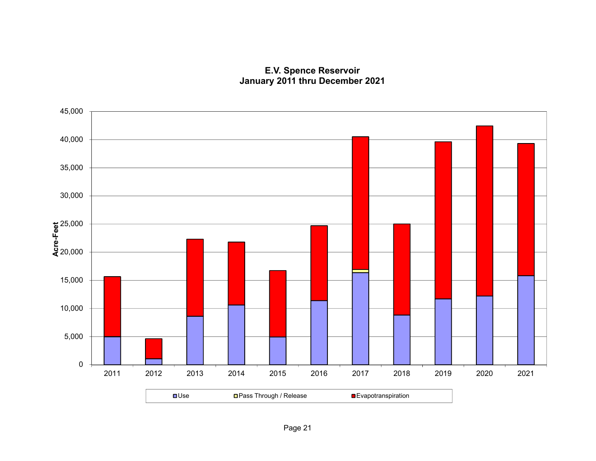# **E.V. Spence Reservoir January 2011 thru December 2021**

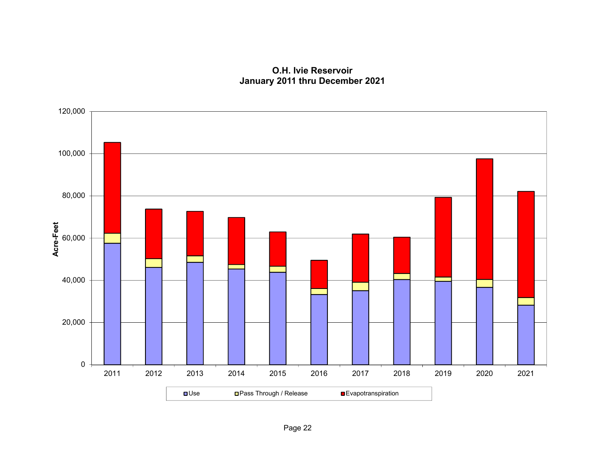**O.H. Ivie ReservoirJanuary 2011 thru December 2021**

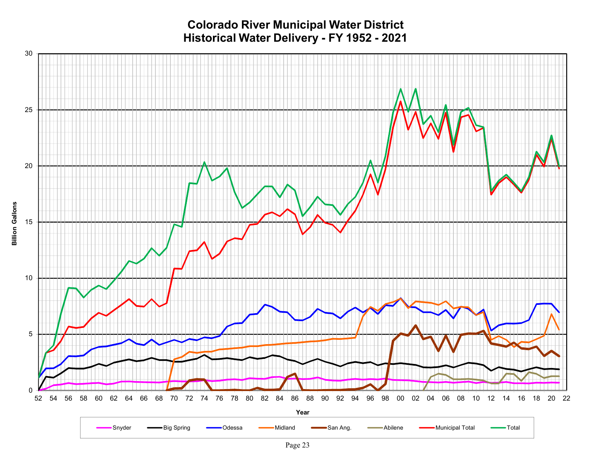**Colorado River Municipal Water District Historical Water Delivery - FY 1952 - 2021**



**Billion Gallons**